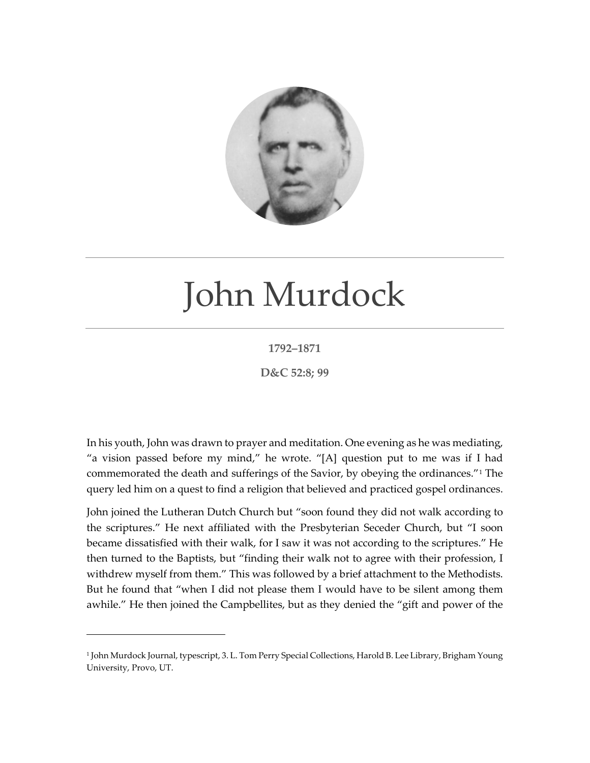

## John Murdock

## **1792–1871**

**D&C 52:8; 99**

In his youth, John was drawn to prayer and meditation. One evening as he was mediating, "a vision passed before my mind," he wrote. "[A] question put to me was if I had commemorated the death and sufferings of the Savior, by obeying the ordinances."[1](#page-0-0) The query led him on a quest to find a religion that believed and practiced gospel ordinances.

John joined the Lutheran Dutch Church but "soon found they did not walk according to the scriptures." He next affiliated with the Presbyterian Seceder Church, but "I soon became dissatisfied with their walk, for I saw it was not according to the scriptures." He then turned to the Baptists, but "finding their walk not to agree with their profession, I withdrew myself from them." This was followed by a brief attachment to the Methodists. But he found that "when I did not please them I would have to be silent among them awhile." He then joined the Campbellites, but as they denied the "gift and power of the

<span id="page-0-0"></span><sup>1</sup> John Murdock Journal, typescript, 3. L. Tom Perry Special Collections, Harold B. Lee Library, Brigham Young University, Provo, UT.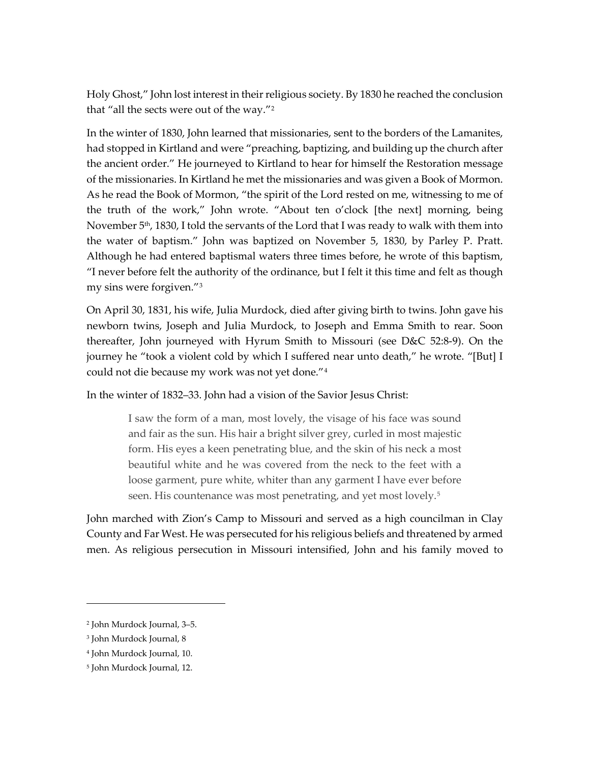Holy Ghost," John lost interest in their religious society. By 1830 he reached the conclusion that "all the sects were out of the way."[2](#page-1-0)

In the winter of 1830, John learned that missionaries, sent to the borders of the Lamanites, had stopped in Kirtland and were "preaching, baptizing, and building up the church after the ancient order." He journeyed to Kirtland to hear for himself the Restoration message of the missionaries. In Kirtland he met the missionaries and was given a Book of Mormon. As he read the Book of Mormon, "the spirit of the Lord rested on me, witnessing to me of the truth of the work," John wrote. "About ten o'clock [the next] morning, being November 5<sup>th</sup>, 1830, I told the servants of the Lord that I was ready to walk with them into the water of baptism." John was baptized on November 5, 1830, by Parley P. Pratt. Although he had entered baptismal waters three times before, he wrote of this baptism, "I never before felt the authority of the ordinance, but I felt it this time and felt as though my sins were forgiven."[3](#page-1-1)

On April 30, 1831, his wife, Julia Murdock, died after giving birth to twins. John gave his newborn twins, Joseph and Julia Murdock, to Joseph and Emma Smith to rear. Soon thereafter, John journeyed with Hyrum Smith to Missouri (see D&C 52:8-9). On the journey he "took a violent cold by which I suffered near unto death," he wrote. "[But] I could not die because my work was not yet done."[4](#page-1-2)

In the winter of 1832–33. John had a vision of the Savior Jesus Christ:

I saw the form of a man, most lovely, the visage of his face was sound and fair as the sun. His hair a bright silver grey, curled in most majestic form. His eyes a keen penetrating blue, and the skin of his neck a most beautiful white and he was covered from the neck to the feet with a loose garment, pure white, whiter than any garment I have ever before seen. His countenance was most penetrating, and yet most lovely.<sup>[5](#page-1-3)</sup>

John marched with Zion's Camp to Missouri and served as a high councilman in Clay County and Far West. He was persecuted for his religious beliefs and threatened by armed men. As religious persecution in Missouri intensified, John and his family moved to

<span id="page-1-0"></span><sup>2</sup> John Murdock Journal, 3–5.

<span id="page-1-1"></span><sup>3</sup> John Murdock Journal, 8

<span id="page-1-2"></span><sup>4</sup> John Murdock Journal, 10.

<span id="page-1-3"></span><sup>5</sup> John Murdock Journal, 12.